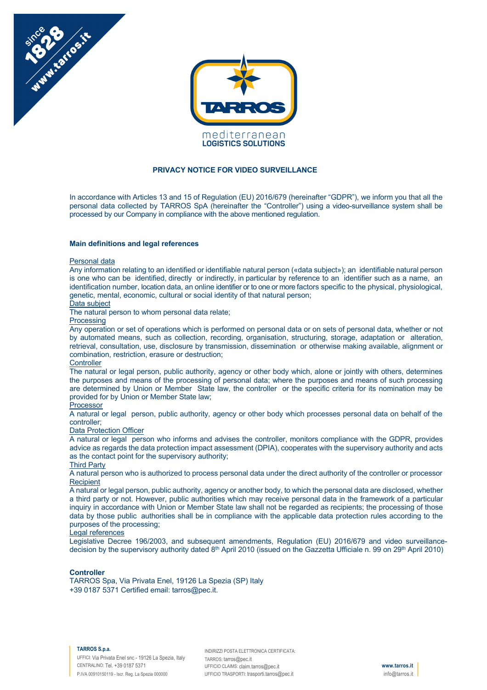



## **PRIVACY NOTICE FOR VIDEO SURVEILLANCE**

In accordance with Articles 13 and 15 of Regulation (EU) 2016/679 (hereinafter "GDPR"), we inform you that all the personal data collected by TARROS SpA (hereinafter the "Controller") using a video-surveillance system shall be processed by our Company in compliance with the above mentioned regulation.

#### **Main definitions and legal references**

#### Personal data

Any information relating to an identified or identifiable natural person («data subject»); an identifiable natural person is one who can be identified, directly or indirectly, in particular by reference to an identifier such as a name, an identification number, location data, an online identifier or to one or more factors specific to the physical, physiological, genetic, mental, economic, cultural or social identity of that natural person;

# Data subject

The natural person to whom personal data relate;

### Processing

Any operation or set of operations which is performed on personal data or on sets of personal data, whether or not by automated means, such as collection, recording, organisation, structuring, storage, adaptation or alteration, retrieval, consultation, use, disclosure by transmission, dissemination or otherwise making available, alignment or combination, restriction, erasure or destruction;

# **Controller**

The natural or legal person, public authority, agency or other body which, alone or jointly with others, determines the purposes and means of the processing of personal data; where the purposes and means of such processing are determined by Union or Member State law, the controller or the specific criteria for its nomination may be provided for by Union or Member State law;

# Processor

A natural or legal person, public authority, agency or other body which processes personal data on behalf of the controller;

### Data Protection Officer

A natural or legal person who informs and advises the controller, monitors compliance with the GDPR, provides advice as regards the data protection impact assessment (DPIA), cooperates with the supervisory authority and acts as the contact point for the supervisory authority;

## Third Party

A natural person who is authorized to process personal data under the direct authority of the controller or processor **Recipient** 

A natural or legal person, public authority, agency or another body, to which the personal data are disclosed, whether a third party or not. However, public authorities which may receive personal data in the framework of a particular inquiry in accordance with Union or Member State law shall not be regarded as recipients; the processing of those data by those public authorities shall be in compliance with the applicable data protection rules according to the purposes of the processing;

#### Legal references

Legislative Decree 196/2003, and subsequent amendments, Regulation (EU) 2016/679 and video surveillancedecision by the supervisory authority dated  $8<sup>th</sup>$  April 2010 (issued on the Gazzetta Ufficiale n. 99 on 29<sup>th</sup> April 2010)

### **Controller**

TARROS Spa, Via Privata Enel, 19126 La Spezia (SP) Italy +39 0187 5371 Certified email: tarros@pec.it.

#### **TARROS S.p.a.**

UFFICI: Via Privata Enel snc - 19126 La Spezia, Italy CENTRALINO: Tel. +39 0187 5371 P.IVA 00910150119 - Iscr. Reg. La Spezia 000000

INDIRIZZI POSTA ELETTRONICA CERTIFICATA: TARROS: tarros@pec.it UFFICIO CLAIMS: claim.tarros@pec.it UFFICIO TRASPORTI: trasporti.tarros@pec.it

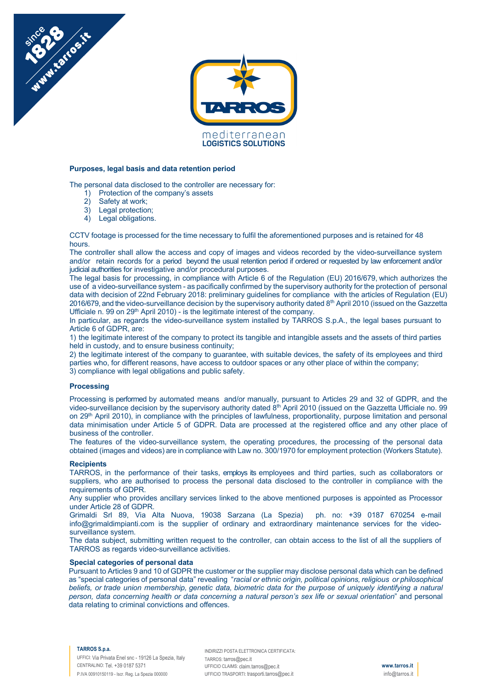

#### **Purposes, legal basis and data retention period**

The personal data disclosed to the controller are necessary for:

- 1) Protection of the company's assets
- 2) Safety at work;

Manufactosite

- 3) Legal protection;
- 4) Legal obligations.

CCTV footage is processed for the time necessary to fulfil the aforementioned purposes and is retained for 48 hours.

The controller shall allow the access and copy of images and videos recorded by the video-surveillance system and/or retain records for a period beyond the usual retention period if ordered or requested by law enforcement and/or judicial authorities for investigative and/or procedural purposes.

The legal basis for processing, in compliance with Article 6 of the Regulation (EU) 2016/679, which authorizes the use of a video-surveillance system - as pacifically confirmed by the supervisory authority for the protection of personal data with decision of 22nd February 2018: preliminary guidelines for compliance with the articles of Regulation (EU) 2016/679, and the video-surveillance decision by the supervisory authority dated 8th April 2010 (issued on the Gazzetta Ufficiale n. 99 on  $29<sup>th</sup>$  April 2010) - is the legitimate interest of the company.

In particular, as regards the video-surveillance system installed by TARROS S.p.A., the legal bases pursuant to Article 6 of GDPR, are:

1) the legitimate interest of the company to protect its tangible and intangible assets and the assets of third parties held in custody, and to ensure business continuity;

2) the legitimate interest of the company to guarantee, with suitable devices, the safety of its employees and third parties who, for different reasons, have access to outdoor spaces or any other place of within the company; 3) compliance with legal obligations and public safety.

# **Processing**

Processing is performed by automated means and/or manually, pursuant to Articles 29 and 32 of GDPR, and the video-surveillance decision by the supervisory authority dated 8<sup>th</sup> April 2010 (issued on the Gazzetta Ufficiale no. 99 on 29th April 2010), in compliance with the principles of lawfulness, proportionality, purpose limitation and personal data minimisation under Article 5 of GDPR. Data are processed at the registered office and any other place of business of the controller.

The features of the video-surveillance system, the operating procedures, the processing of the personal data obtained (images and videos) are in compliance with Law no. 300/1970 for employment protection (Workers Statute).

### **Recipients**

TARROS, in the performance of their tasks, employs its employees and third parties, such as collaborators or suppliers, who are authorised to process the personal data disclosed to the controller in compliance with the requirements of GDPR.

Any supplier who provides ancillary services linked to the above mentioned purposes is appointed as Processor under Article 28 of GDPR.

Grimaldi Srl 89, Via Alta Nuova, 19038 Sarzana (La Spezia) ph. no: +39 0187 670254 e-mail info@grimaldimpianti.com is the supplier of ordinary and extraordinary maintenance services for the videosurveillance system.

The data subject, submitting written request to the controller, can obtain access to the list of all the suppliers of TARROS as regards video-surveillance activities.

#### **Special categories of personal data**

Pursuant to Articles 9 and 10 of GDPR the customer or the supplier may disclose personal data which can be defined as "special categories of personal data" revealing "*racial or ethnic origin, political opinions, religious or philosophical beliefs, or trade union membership, genetic data, biometric data for the purpose of uniquely identifying a natural person, data concerning health or data concerning a natural person's sex life or sexual orientation*" and personal data relating to criminal convictions and offences.

#### **TARROS S.p.a.**

UFFICI: Via Privata Enel snc - 19126 La Spezia, Italy CENTRALINO: Tel. +39 0187 5371 P.IVA 00910150119 - Iscr. Reg. La Spezia 000000

INDIRIZZI POSTA ELETTRONICA CERTIFICATA: TARROS: tarros@pec.it UFFICIO CLAIMS: claim.tarros@pec.it UFFICIO TRASPORTI: trasporti.tarros@pec.it

**www.tarros.it** info@tarros.it